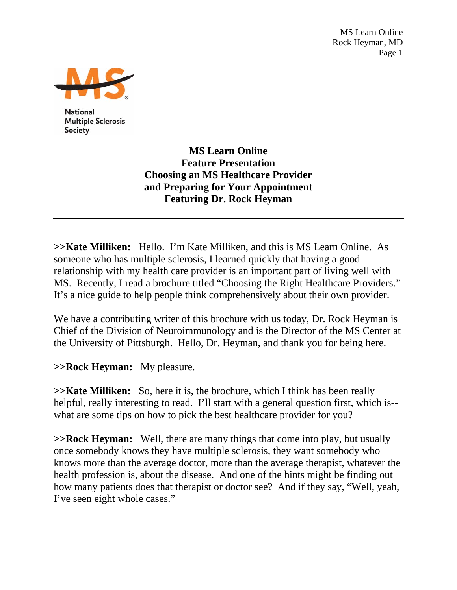MS Learn Online Rock Heyman, MD Page 1



**National Multiple Sclerosis** Society

> **MS Learn Online Feature Presentation Choosing an MS Healthcare Provider and Preparing for Your Appointment Featuring Dr. Rock Heyman**

**>>Kate Milliken:** Hello. I'm Kate Milliken, and this is MS Learn Online. As someone who has multiple sclerosis, I learned quickly that having a good relationship with my health care provider is an important part of living well with MS. Recently, I read a brochure titled "Choosing the Right Healthcare Providers." It's a nice guide to help people think comprehensively about their own provider.

We have a contributing writer of this brochure with us today, Dr. Rock Heyman is Chief of the Division of Neuroimmunology and is the Director of the MS Center at the University of Pittsburgh. Hello, Dr. Heyman, and thank you for being here.

**>>Rock Heyman:** My pleasure.

**>>Kate Milliken:** So, here it is, the brochure, which I think has been really helpful, really interesting to read. I'll start with a general question first, which is-what are some tips on how to pick the best healthcare provider for you?

**>>Rock Heyman:** Well, there are many things that come into play, but usually once somebody knows they have multiple sclerosis, they want somebody who knows more than the average doctor, more than the average therapist, whatever the health profession is, about the disease. And one of the hints might be finding out how many patients does that therapist or doctor see? And if they say, "Well, yeah, I've seen eight whole cases."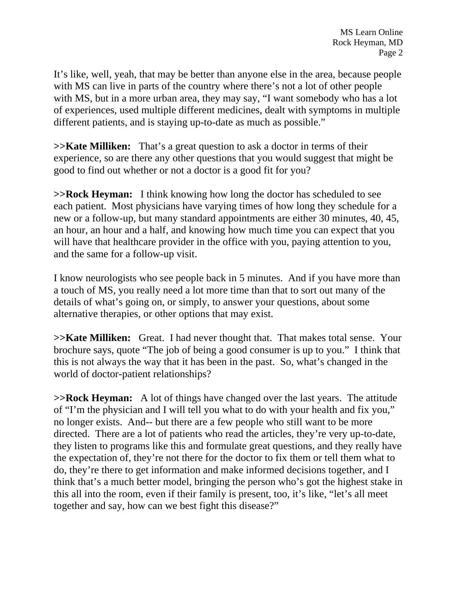It's like, well, yeah, that may be better than anyone else in the area, because people with MS can live in parts of the country where there's not a lot of other people with MS, but in a more urban area, they may say, "I want somebody who has a lot of experiences, used multiple different medicines, dealt with symptoms in multiple different patients, and is staying up-to-date as much as possible."

**>>Kate Milliken:** That's a great question to ask a doctor in terms of their experience, so are there any other questions that you would suggest that might be good to find out whether or not a doctor is a good fit for you?

**>>Rock Heyman:** I think knowing how long the doctor has scheduled to see each patient. Most physicians have varying times of how long they schedule for a new or a follow-up, but many standard appointments are either 30 minutes, 40, 45, an hour, an hour and a half, and knowing how much time you can expect that you will have that healthcare provider in the office with you, paying attention to you, and the same for a follow-up visit.

I know neurologists who see people back in 5 minutes. And if you have more than a touch of MS, you really need a lot more time than that to sort out many of the details of what's going on, or simply, to answer your questions, about some alternative therapies, or other options that may exist.

**>>Kate Milliken:** Great. I had never thought that. That makes total sense. Your brochure says, quote "The job of being a good consumer is up to you." I think that this is not always the way that it has been in the past. So, what's changed in the world of doctor-patient relationships?

**>>Rock Heyman:** A lot of things have changed over the last years. The attitude of "I'm the physician and I will tell you what to do with your health and fix you," no longer exists. And-- but there are a few people who still want to be more directed. There are a lot of patients who read the articles, they're very up-to-date, they listen to programs like this and formulate great questions, and they really have the expectation of, they're not there for the doctor to fix them or tell them what to do, they're there to get information and make informed decisions together, and I think that's a much better model, bringing the person who's got the highest stake in this all into the room, even if their family is present, too, it's like, "let's all meet together and say, how can we best fight this disease?"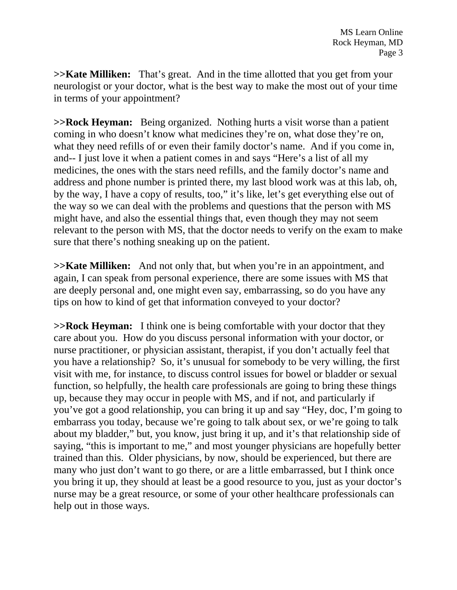**>>Kate Milliken:** That's great. And in the time allotted that you get from your neurologist or your doctor, what is the best way to make the most out of your time in terms of your appointment?

**>>Rock Heyman:** Being organized. Nothing hurts a visit worse than a patient coming in who doesn't know what medicines they're on, what dose they're on, what they need refills of or even their family doctor's name. And if you come in, and-- I just love it when a patient comes in and says "Here's a list of all my medicines, the ones with the stars need refills, and the family doctor's name and address and phone number is printed there, my last blood work was at this lab, oh, by the way, I have a copy of results, too," it's like, let's get everything else out of the way so we can deal with the problems and questions that the person with MS might have, and also the essential things that, even though they may not seem relevant to the person with MS, that the doctor needs to verify on the exam to make sure that there's nothing sneaking up on the patient.

**>>Kate Milliken:** And not only that, but when you're in an appointment, and again, I can speak from personal experience, there are some issues with MS that are deeply personal and, one might even say, embarrassing, so do you have any tips on how to kind of get that information conveyed to your doctor?

**>>Rock Heyman:** I think one is being comfortable with your doctor that they care about you. How do you discuss personal information with your doctor, or nurse practitioner, or physician assistant, therapist, if you don't actually feel that you have a relationship? So, it's unusual for somebody to be very willing, the first visit with me, for instance, to discuss control issues for bowel or bladder or sexual function, so helpfully, the health care professionals are going to bring these things up, because they may occur in people with MS, and if not, and particularly if you've got a good relationship, you can bring it up and say "Hey, doc, I'm going to embarrass you today, because we're going to talk about sex, or we're going to talk about my bladder," but, you know, just bring it up, and it's that relationship side of saying, "this is important to me," and most younger physicians are hopefully better trained than this. Older physicians, by now, should be experienced, but there are many who just don't want to go there, or are a little embarrassed, but I think once you bring it up, they should at least be a good resource to you, just as your doctor's nurse may be a great resource, or some of your other healthcare professionals can help out in those ways.